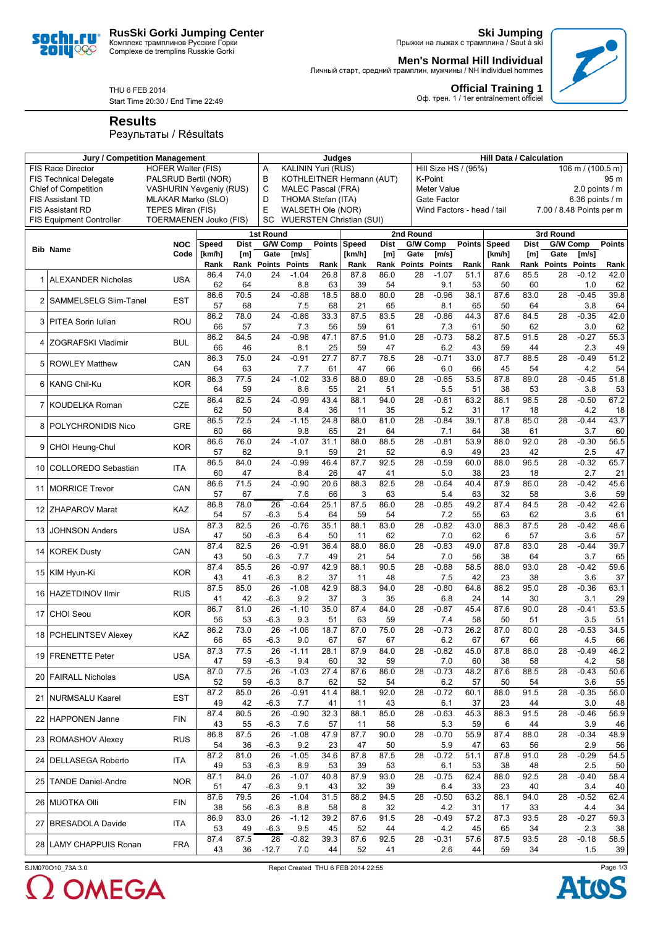

**Ski Jumping** Прыжки на лыжах с трамплина / Saut à ski

**Official Training 1**<br>Оф. трен. 1 / 1er entraînement officiel

**Men's Normal Hill Individual** Личный старт, средний трамплин, мужчины / NH individuel hommes



Start Time 20:30 / End Time 22:49

**Results**

soci 20IU<sup>o</sup>

## Результаты / Résultats

|                                                                                                                  | <b>Jury / Competition Management</b> |                                | Judges         |             |                 |                                                   |               |                                 | <b>Hill Data / Calculation</b> |                  |                                           |               |                                                                                            |                |                      |                             |            |  |  |
|------------------------------------------------------------------------------------------------------------------|--------------------------------------|--------------------------------|----------------|-------------|-----------------|---------------------------------------------------|---------------|---------------------------------|--------------------------------|------------------|-------------------------------------------|---------------|--------------------------------------------------------------------------------------------|----------------|----------------------|-----------------------------|------------|--|--|
|                                                                                                                  | <b>FIS Race Director</b>             | <b>HOFER Walter (FIS)</b>      |                |             | Α               | <b>KALININ Yuri (RUS)</b>                         |               |                                 |                                |                  | Hill Size HS / (95%)<br>106 m / (100.5 m) |               |                                                                                            |                |                      |                             |            |  |  |
|                                                                                                                  | <b>FIS Technical Delegate</b>        | PALSRUD Bertil (NOR)           |                |             | B               |                                                   |               | KOTHLEITNER Hermann (AUT)       |                                |                  | K-Point                                   | 95 m          |                                                                                            |                |                      |                             |            |  |  |
|                                                                                                                  | <b>Chief of Competition</b>          | <b>VASHURIN Yevgeniy (RUS)</b> |                |             | C               | <b>MALEC Pascal (FRA)</b><br><b>Meter Value</b>   |               |                                 |                                |                  |                                           |               |                                                                                            | 2.0 points / m |                      |                             |            |  |  |
| <b>FIS Assistant TD</b><br>MLAKAR Marko (SLO)                                                                    |                                      |                                |                |             |                 | D<br>THOMA Stefan (ITA)<br>E<br>WALSETH Ole (NOR) |               |                                 |                                |                  |                                           |               | 6.36 points $/$ m<br>Gate Factor<br>7.00 / 8.48 Points per m<br>Wind Factors - head / tail |                |                      |                             |            |  |  |
| <b>FIS Assistant RD</b><br>TEPES Miran (FIS)<br><b>TOERMAENEN Jouko (FIS)</b><br><b>FIS Equipment Controller</b> |                                      |                                |                |             |                 |                                                   |               | <b>WUERSTEN Christian (SUI)</b> |                                |                  |                                           |               |                                                                                            |                |                      |                             |            |  |  |
|                                                                                                                  |                                      |                                |                |             | SC              |                                                   |               |                                 |                                |                  |                                           |               |                                                                                            |                |                      |                             |            |  |  |
|                                                                                                                  |                                      |                                |                |             | 1st Round       |                                                   |               |                                 |                                | 2nd Round        |                                           |               |                                                                                            |                | 3rd Round            |                             |            |  |  |
|                                                                                                                  | <b>Bib Name</b>                      | <b>NOC</b><br>Code             | Speed          | <b>Dist</b> | Gate            | G/W Comp                                          | <b>Points</b> | Speed                           | <b>Dist</b>                    | G/W Comp<br>Gate |                                           | <b>Points</b> | Speed                                                                                      | <b>Dist</b>    | Gate                 | G/W Comp<br>$\mathsf{Im/s}$ | Points     |  |  |
|                                                                                                                  |                                      |                                | [km/h]<br>Rank | [m]         |                 | [m/s]<br>Rank Points Points                       | Rank          | [km/h]<br>Rank                  | [m]<br>Rank                    | Points           | [m/s]<br><b>Points</b>                    | Rank          | [km/h]<br>Rank                                                                             | [m]<br>Rank    | <b>Points Points</b> |                             | Rank       |  |  |
|                                                                                                                  |                                      |                                | 86.4           | 74.0        | 24              | $-1.04$                                           | 26.8          | 87.8                            | 86.0                           | 28               | $-1.07$                                   | 51.1          | 87.6                                                                                       | 85.5           | 28                   | $-0.12$                     | 42.0       |  |  |
|                                                                                                                  | <b>ALEXANDER Nicholas</b>            | <b>USA</b>                     | 62             | 64          |                 | 8.8                                               | 63            | 39                              | 54                             |                  | 9.1                                       | 53            | 50                                                                                         | 60             |                      | 1.0                         | 62         |  |  |
|                                                                                                                  |                                      |                                | 86.6           | 70.5        | 24              | $-0.88$                                           | 18.5          | 88.0                            | 80.0                           | 28               | $-0.96$                                   | 38.1          | 87.6                                                                                       | 83.0           | 28                   | $-0.45$                     | 39.8       |  |  |
|                                                                                                                  | SAMMELSELG Siim-Tanel                | <b>EST</b>                     | 57             | 68          |                 | 7.5                                               | 68            | 21                              | 65                             |                  | 8.1                                       | 65            | 50                                                                                         | 64             |                      | 3.8                         | 64         |  |  |
| 3                                                                                                                | PITEA Sorin Iulian                   | ROU                            | 86.2           | 78.0        | 24              | $-0.86$                                           | 33.3          | 87.5                            | 83.5                           | 28               | $-0.86$                                   | 44.3          | 87.6                                                                                       | 84.5           | 28                   | $-0.35$                     | 42.0       |  |  |
|                                                                                                                  |                                      |                                | 66             | 57          |                 | 7.3                                               | 56            | 59                              | 61                             |                  | 7.3                                       | 61            | 50                                                                                         | 62             |                      | 3.0                         | 62         |  |  |
| 4                                                                                                                | ZOGRAFSKI Vladimir                   | <b>BUL</b>                     | 86.2           | 84.5        | 24              | $-0.96$                                           | 47.1          | 87.5                            | 91.0                           | 28               | $-0.73$                                   | 58.2          | 87.5                                                                                       | 91.5           | 28                   | $-0.27$                     | 55.3       |  |  |
|                                                                                                                  |                                      |                                | 66             | 46          |                 | 8.1                                               | 25            | 59                              | 47                             |                  | 6.2                                       | 43            | 59                                                                                         | 44             |                      | 2.3                         | 49         |  |  |
| 5                                                                                                                | <b>ROWLEY Matthew</b>                | <b>CAN</b>                     | 86.3           | 75.0        | 24              | $-0.91$                                           | 27.7          | 87.7                            | 78.5                           | 28               | $-0.71$                                   | 33.0          | 87.7                                                                                       | 88.5           | 28                   | $-0.49$                     | 51.2       |  |  |
|                                                                                                                  |                                      |                                | 64<br>86.3     | 63<br>77.5  | 24              | 7.7<br>$-1.02$                                    | 61<br>33.6    | 47<br>88.0                      | 66<br>89.0                     | 28               | 6.0                                       | 66<br>53.5    | 45<br>87.8                                                                                 | 54<br>89.0     | 28                   | 4.2<br>$-0.45$              | 54<br>51.8 |  |  |
| 6                                                                                                                | <b>KANG Chil-Ku</b>                  | <b>KOR</b>                     | 64             | 59          |                 | 8.6                                               | 55            | 21                              | 51                             |                  | $-0.65$<br>5.5                            | 51            | 38                                                                                         | 53             |                      | 3.8                         | 53         |  |  |
|                                                                                                                  |                                      |                                | 86.4           | 82.5        | 24              | $-0.99$                                           | 43.4          | 88.1                            | 94.0                           | 28               | $-0.61$                                   | 63.2          | 88.1                                                                                       | 96.5           | 28                   | $-0.50$                     | 67.2       |  |  |
| 7                                                                                                                | KOUDELKA Roman                       | <b>CZE</b>                     | 62             | 50          |                 | 8.4                                               | 36            | 11                              | 35                             |                  | 5.2                                       | 31            | 17                                                                                         | 18             |                      | 4.2                         | 18         |  |  |
|                                                                                                                  |                                      |                                | 86.5           | 72.5        | 24              | $-1.15$                                           | 24.8          | 88.0                            | 81.0                           | 28               | $-0.84$                                   | 39.1          | 87.8                                                                                       | 85.0           | 28                   | $-0.44$                     | 43.7       |  |  |
| 8                                                                                                                | POLYCHRONIDIS Nico                   | <b>GRE</b>                     | 60             | 66          |                 | 9.8                                               | 65            | 21                              | 64                             |                  | 7.1                                       | 64            | 38                                                                                         | 61             |                      | 3.7                         | 60         |  |  |
|                                                                                                                  |                                      |                                | 86.6           | 76.0        | 24              | $-1.07$                                           | 31.1          | 88.0                            | 88.5                           | 28               | $-0.81$                                   | 53.9          | 88.0                                                                                       | 92.0           | 28                   | $-0.30$                     | 56.5       |  |  |
| 9                                                                                                                | CHOI Heung-Chul                      | <b>KOR</b>                     | 57             | 62          |                 | 9.1                                               | 59            | 21                              | 52                             |                  | 6.9                                       | 49            | 23                                                                                         | 42             |                      | 2.5                         | 47         |  |  |
| 10                                                                                                               | <b>COLLOREDO Sebastian</b>           | <b>ITA</b>                     | 86.5           | 84.0        | 24              | $-0.99$                                           | 46.4          | 87.7                            | 92.5                           | 28               | $-0.59$                                   | 60.0          | 88.0                                                                                       | 96.5           | 28                   | $-0.32$                     | 65.7       |  |  |
|                                                                                                                  |                                      |                                | 60             | 47          |                 | 8.4                                               | 26            | 47                              | 41                             |                  | 5.0                                       | 38            | 23                                                                                         | 18             |                      | 2.7                         | 21         |  |  |
|                                                                                                                  | 11 MORRICE Trevor                    | CAN                            | 86.6           | 71.5        | 24              | $-0.90$                                           | 20.6          | 88.3                            | 82.5                           | 28               | $-0.64$                                   | 40.4          | 87.9                                                                                       | 86.0           | 28                   | $-0.42$                     | 45.6       |  |  |
|                                                                                                                  |                                      |                                | 57             | 67          |                 | 7.6                                               | 66            | 3                               | 63                             |                  | 5.4                                       | 63            | 32                                                                                         | 58             |                      | 3.6                         | 59         |  |  |
| 12                                                                                                               | <b>ZHAPAROV Marat</b>                | KAZ                            | 86.8           | 78.0        | 26              | $-0.64$                                           | 25.1          | 87.5                            | 86.0                           | 28               | $-0.85$                                   | 49.2          | 87.4                                                                                       | 84.5           | 28                   | $-0.42$                     | 42.6       |  |  |
|                                                                                                                  |                                      |                                | 54<br>87.3     | 57<br>82.5  | $-6.3$<br>26    | 5.4<br>$-0.76$                                    | 64<br>35.1    | 59                              | 54<br>83.0                     |                  | 7.2<br>$-0.82$                            | 55<br>43.0    | 63<br>88.3                                                                                 | 62<br>87.5     | 28                   | 3.6<br>$-0.42$              | 61         |  |  |
| 13                                                                                                               | <b>JOHNSON Anders</b>                | <b>USA</b>                     | 47             | 50          | $-6.3$          | 6.4                                               | 50            | 88.1<br>11                      | 62                             | 28               | 7.0                                       | 62            | 6                                                                                          | 57             |                      | 3.6                         | 48.6<br>57 |  |  |
|                                                                                                                  |                                      |                                | 87.4           | 82.5        | $\overline{26}$ | $-0.91$                                           | 36.4          | 88.0                            | 86.0                           | 28               | $-0.83$                                   | 49.0          | 87.8                                                                                       | 83.0           | 28                   | $-0.44$                     | 39.7       |  |  |
| 14                                                                                                               | <b>KOREK Dusty</b>                   | CAN                            | 43             | 50          | $-6.3$          | 7.7                                               | 49            | 21                              | 54                             |                  | 7.0                                       | 56            | 38                                                                                         | 64             |                      | 3.7                         | 65         |  |  |
|                                                                                                                  |                                      |                                | 87.4           | 85.5        | $\overline{26}$ | $-0.97$                                           | 42.9          | 88.1                            | 90.5                           | 28               | $-0.88$                                   | 58.5          | 88.0                                                                                       | 93.0           | 28                   | $-0.42$                     | 59.6       |  |  |
| 15 <sub>l</sub>                                                                                                  | KIM Hyun-Ki                          | <b>KOR</b>                     | 43             | 41          | $-6.3$          | 8.2                                               | 37            | 11                              | 48                             |                  | 7.5                                       | 42            | 23                                                                                         | 38             |                      | 3.6                         | 37         |  |  |
|                                                                                                                  |                                      |                                | 87.5           | 85.0        | 26              | $-1.08$                                           | 42.9          | 88.3                            | 94.0                           | 28               | $-0.80$                                   | 64.8          | 88.2                                                                                       | 95.0           | 28                   | $-0.36$                     | 63.1       |  |  |
|                                                                                                                  | 16 HAZETDINOV Ilmir                  | <b>RUS</b>                     | 41             | 42          | $-6.3$          | 9.2                                               | 37            | 3                               | 35                             |                  | 6.8                                       | 24            | 14                                                                                         | 30             |                      | 3.1                         | 29         |  |  |
| 17                                                                                                               | <b>CHOI Seou</b>                     | <b>KOR</b>                     | 86.7           | 81.0        | 26              | $-1.10$                                           | 35.0          | 87.4                            | 84.0                           | 28               | $-0.87$                                   | 45.4          | 87.6                                                                                       | 90.0           | 28                   | $-0.41$                     | 53.5       |  |  |
|                                                                                                                  |                                      |                                | 56             | 53          | $-6.3$          | 9.3                                               | 51            | 63                              | 59                             |                  | 7.4                                       | 58            | 50                                                                                         | 51             |                      | 3.5                         | 51         |  |  |
| 18                                                                                                               | <b>PCHELINTSEV Alexey</b>            | KAZ                            | 86.2           | 73.0        | 26              | $-1.06$                                           | 18.7          | 87.0                            | 75.0                           | 28               | $-0.73$                                   | 26.2          | 87.0                                                                                       | 80.0           | 28                   | $-0.53$                     | 34.5       |  |  |
|                                                                                                                  |                                      |                                | 66             | 65          | $-6.3$          | 9.0                                               | 67            | 67                              | 67                             |                  | 6.2                                       | 67            | 67                                                                                         | 66             |                      | 4.5                         | 66         |  |  |
|                                                                                                                  | 19 FRENETTE Peter                    | <b>USA</b>                     | 87.3<br>47     | 77.5<br>59  | 26<br>$-6.3$    | $-1.11$<br>9.4                                    | 28.1<br>60    | 87.9<br>32                      | 84.0<br>59                     | 28               | $-0.82$<br>7.0                            | 45.0<br>60    | 87.8<br>38                                                                                 | 86.0           | 28                   | $-0.49$<br>4.2              | 46.2<br>58 |  |  |
|                                                                                                                  |                                      |                                | 87.0           | 77.5        | 26              | $-1.03$                                           | 27.4          | 87.6                            | 86.0                           | 28               | $-0.73$                                   | 48.2          | 87.6                                                                                       | 58<br>88.5     | 28                   | $-0.43$                     | 50.6       |  |  |
|                                                                                                                  | 20 FAIRALL Nicholas                  | <b>USA</b>                     | 52             | 59          | $-6.3$          | 8.7                                               | 62            | 52                              | 54                             |                  | 6.2                                       | 57            | 50                                                                                         | 54             |                      | 3.6                         | 55         |  |  |
|                                                                                                                  |                                      |                                | 87.2           | 85.0        | 26              | $-0.91$                                           | 41.4          | 88.1                            | 92.0                           | 28               | $-0.72$                                   | 60.1          | 88.0                                                                                       | 91.5           | $\overline{28}$      | $-0.35$                     | 56.0       |  |  |
|                                                                                                                  | 21 NURMSALU Kaarel                   | <b>EST</b>                     | 49             | 42          | $-6.3$          | 7.7                                               | 41            | 11                              | 43                             |                  | 6.1                                       | 37            | 23                                                                                         | 44             |                      | 3.0                         | 48         |  |  |
|                                                                                                                  |                                      |                                | 87.4           | 80.5        | 26              | $-0.90$                                           | 32.3          | 88.1                            | 85.0                           | $\overline{28}$  | $-0.63$                                   | 45.3          | 88.3                                                                                       | 91.5           | 28                   | $-0.46$                     | 56.9       |  |  |
|                                                                                                                  | 22 HAPPONEN Janne                    | <b>FIN</b>                     | 43             | 55          | $-6.3$          | 7.6                                               | 57            | 11                              | 58                             |                  | 5.3                                       | 59            | 6                                                                                          | 44             |                      | 3.9                         | 46         |  |  |
|                                                                                                                  | 23 ROMASHOV Alexey                   | <b>RUS</b>                     | 86.8           | 87.5        | 26              | $-1.08$                                           | 47.9          | 87.7                            | 90.0                           | 28               | $-0.70$                                   | 55.9          | 87.4                                                                                       | 88.0           | 28                   | $-0.34$                     | 48.9       |  |  |
|                                                                                                                  |                                      |                                | 54             | 36          | $-6.3$          | 9.2                                               | 23            | 47                              | 50                             |                  | 5.9                                       | 47            | 63                                                                                         | 56             |                      | 2.9                         | 56         |  |  |
|                                                                                                                  | 24 DELLASEGA Roberto                 | ITA                            | 87.2           | 81.0        | 26              | $-1.05$                                           | 34.6          | 87.8                            | 87.5                           | $\overline{28}$  | $-0.72$                                   | 51.1          | 87.8                                                                                       | 91.0           | $\overline{28}$      | $-0.29$                     | 54.5       |  |  |
|                                                                                                                  |                                      |                                | 49             | 53          | $-6.3$          | 8.9                                               | 53            | 39                              | 53                             |                  | 6.1                                       | 53            | 38                                                                                         | 48             |                      | 2.5                         | 50         |  |  |
|                                                                                                                  | 25 TANDE Daniel-Andre                | <b>NOR</b>                     | 87.1           | 84.0        | 26              | $-1.07$                                           | 40.8          | 87.9                            | 93.0                           | $\overline{28}$  | $-0.75$                                   | 62.4          | 88.0                                                                                       | 92.5           | $\overline{28}$      | $-0.40$                     | 58.4       |  |  |
|                                                                                                                  |                                      |                                | 51             | 47          | $-6.3$          | 9.1                                               | 43            | 32                              | 39                             |                  | 6.4                                       | 33            | 23                                                                                         | 40             |                      | 3.4                         | 40         |  |  |
|                                                                                                                  | 26 MUOTKA Olli                       | <b>FIN</b>                     | 87.6<br>38     | 79.5        | 26              | $-1.04$                                           | 31.5          | 88.2<br>8                       | 94.5                           | 28               | $-0.50$<br>4.2                            | 63.2          | 88.1                                                                                       | 94.0           | 28                   | $-0.52$<br>4.4              | 62.4<br>34 |  |  |
|                                                                                                                  |                                      |                                | 86.9           | 56<br>83.0  | $-6.3$<br>26    | 8.8<br>$-1.12$                                    | 58<br>39.2    | 87.6                            | 32<br>91.5                     | 28               | $-0.49$                                   | 31<br>57.2    | 17<br>87.3                                                                                 | 33<br>93.5     | 28                   | $-0.27$                     | 59.3       |  |  |
| 27                                                                                                               | <b>BRESADOLA Davide</b>              | ITA                            | 53             | 49          | $-6.3$          | 9.5                                               | 45            | 52                              | 44                             |                  | 4.2                                       | 45            | 65                                                                                         | 34             |                      | 2.3                         | 38         |  |  |
|                                                                                                                  |                                      |                                | 87.4           | 87.5        | 28              | $-0.82$                                           | 39.3          | 87.6                            | 92.5                           | 28               | $-0.31$                                   | 57.6          | 87.5                                                                                       | 93.5           | 28                   | $-0.18$                     | 58.5       |  |  |
|                                                                                                                  | 28 LAMY CHAPPUIS Ronan               | <b>FRA</b>                     | 43             | 36          | $-12.7$         | 7.0                                               | 44            | 52                              | 41                             |                  | 2.6                                       | 44            | 59                                                                                         | 34             |                      | 1.5                         | 39         |  |  |

 $\Omega$  OMEGA

SJM070O10\_73A 3.0 Repot Created THU 6 FEB 2014 22:55



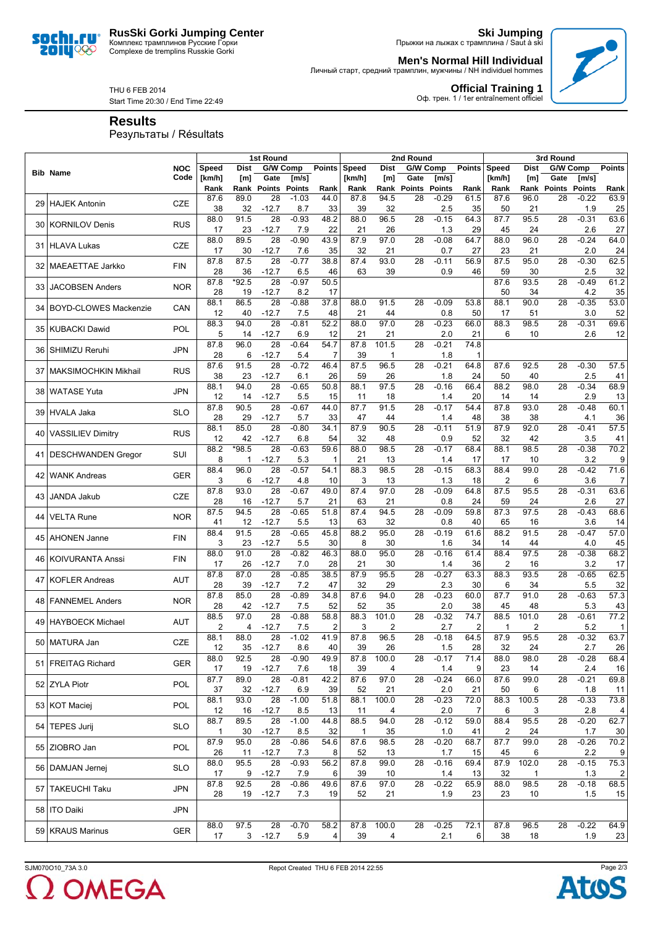**RusSki Gorki Jumping Center** Комплекс трамплинов Русские Горки Complexe de tremplins Russkie Gorki



**Ski Jumping** Прыжки на лыжах с трамплина / Saut à ski

**Men's Normal Hill Individual**

Личный старт, средний трамплин, мужчины / NH individuel hommes



THU 6 FEB 2014 Start Time 20:30 / End Time 22:49 **Official Training 1**<br>Оф. трен. 1 / 1er entraînement officiel

**Results**

Результаты / Résultats

|     |                              |            | 1st Round<br>2nd Round |             |                            |                |                |            |             | 3rd Round       |                |               |                |              |                 |                |               |
|-----|------------------------------|------------|------------------------|-------------|----------------------------|----------------|----------------|------------|-------------|-----------------|----------------|---------------|----------------|--------------|-----------------|----------------|---------------|
|     |                              | <b>NOC</b> | <b>Speed</b>           | <b>Dist</b> |                            | G/W Comp       | <b>Points</b>  | Speed      | <b>Dist</b> | G/W Comp        |                | <b>Points</b> | Speed          | <b>Dist</b>  |                 | G/W Comp       | <b>Points</b> |
|     | <b>Bib Name</b>              | Code       | [km/h]                 | [m]         | Gate                       | [m/s]          |                | [km/h]     | [m]         | Gate            | [m/s]          |               | [km/h]         | [m]          | Gate            | [m/s]          |               |
|     |                              |            | Rank                   | Rank        | Points                     | <b>Points</b>  | Rank           | Rank       | Rank        | Points          | <b>Points</b>  | Rank          | Rank           | Rank         | Points          | <b>Points</b>  | Rank          |
| 29  | <b>HAJEK Antonin</b>         | <b>CZE</b> | 87.6                   | 89.0        | 28                         | $-1.03$        | 44.0           | 87.8       | 94.5        | 28              | $-0.29$        | 61.5          | 87.6           | 96.0         | 28              | $-0.22$        | 63.9          |
|     |                              |            | 38                     | 32          | $-12.7$                    | 8.7            | 33             | 39         | 32          |                 | 2.5            | 35            | 50             | 21           |                 | 1.9            | 25            |
| 30  | <b>KORNILOV Denis</b>        | <b>RUS</b> | 88.0                   | 91.5        | $\overline{28}$            | $-0.93$        | 48.2           | 88.0       | 96.5        | 28              | $-0.15$        | 64.3          | 87.7           | 95.5         | 28              | $-0.31$        | 63.6          |
|     |                              |            | 17                     | 23          | $-12.7$                    | 7.9            | 22             | 21         | 26          |                 | 1.3            | 29            | 45             | 24           |                 | 2.6            | 27            |
| 31  | <b>HLAVA Lukas</b>           | <b>CZE</b> | 88.0<br>17             | 89.5<br>30  | 28<br>$-12.7$              | $-0.90$<br>7.6 | 43.9<br>35     | 87.9<br>32 | 97.0        | 28              | $-0.08$<br>0.7 | 64.7<br>27    | 88.0           | 96.0<br>21   | 28              | $-0.24$<br>2.0 | 64.0          |
|     |                              |            | 87.8                   | 87.5        | 28                         | $-0.77$        | 38.8           | 87.4       | 21<br>93.0  | 28              | $-0.11$        | 56.9          | 23<br>87.5     | 95.0         | 28              | $-0.30$        | 24<br>62.5    |
| 32  | MAEAETTAE Jarkko             | <b>FIN</b> | 28                     | 36          | $-12.7$                    | 6.5            | 46             | 63         | 39          |                 | 0.9            | 46            | 59             | 30           |                 | 2.5            | 32            |
|     |                              |            | 87.8                   | *92.5       | 28                         | $-0.97$        | 50.5           |            |             |                 |                |               | 87.6           | 93.5         | 28              | $-0.49$        | 61.2          |
| 331 | <b>JACOBSEN Anders</b>       | <b>NOR</b> | 28                     | 19          | $-12.7$                    | 8.2            | 17             |            |             |                 |                |               | 50             | 34           |                 | 4.2            | 35            |
|     |                              |            | 88.1                   | 86.5        | 28                         | $-0.88$        | 37.8           | 88.0       | 91.5        | 28              | $-0.09$        | 53.8          | 88.1           | 90.0         | 28              | $-0.35$        | 53.0          |
| 34  | <b>BOYD-CLOWES Mackenzie</b> | CAN        | 12                     | 40          | $-12.7$                    | 7.5            | 48             | 21         | 44          |                 | 0.8            | 50            | 17             | 51           |                 | 3.0            | 52            |
|     |                              |            | 88.3                   | 94.0        | 28                         | $-0.81$        | 52.2           | 88.0       | 97.0        | 28              | $-0.23$        | 66.0          | 88.3           | 98.5         | 28              | $-0.31$        | 69.6          |
| 35  | <b>KUBACKI Dawid</b>         | <b>POL</b> | 5                      | 14          | $-12.7$                    | 6.9            | 12             | 21         | 21          |                 | 2.0            | 21            | 6              | 10           |                 | 2.6            | 12            |
| 36  | SHIMIZU Reruhi               | <b>JPN</b> | 87.8                   | 96.0        | 28                         | $-0.64$        | 54.7           | 87.8       | 101.5       | 28              | $-0.21$        | 74.8          |                |              |                 |                |               |
|     |                              |            | 28                     | 6           | $-12.7$                    | 5.4            | 7              | 39         | 1           |                 | 1.8            | $\mathbf 1$   |                |              |                 |                |               |
| 37  | <b>MAKSIMOCHKIN Mikhail</b>  | <b>RUS</b> | 87.6                   | 91.5        | 28                         | $-0.72$        | 46.4           | 87.5       | 96.5        | 28              | $-0.21$        | 64.8          | 87.6           | 92.5         | 28              | $-0.30$        | 57.5          |
|     |                              |            | 38                     | 23          | $-12.7$                    | 6.1            | 26             | 59         | 26          |                 | 1.8            | 24            | 50             | 40           |                 | 2.5            | 41            |
|     | 38 WATASE Yuta               | <b>JPN</b> | 88.1                   | 94.0        | 28                         | $-0.65$        | 50.8           | 88.1       | 97.5        | 28              | $-0.16$        | 66.4          | 88.2           | 98.0         | 28              | $-0.34$        | 68.9          |
|     |                              |            | 12                     | 14          | $-12.7$                    | 5.5<br>$-0.67$ | 15             | 11         | 18          | 28              | 1.4<br>$-0.17$ | 20            | 14<br>87.8     | 14           | 28              | 2.9            | 13            |
| 39  | <b>HVALA Jaka</b>            | <b>SLO</b> | 87.8<br>28             | 90.5<br>29  | 28<br>$-12.7$              | 5.7            | 44.0<br>33     | 87.7<br>47 | 91.5        |                 | 1.4            | 54.4<br>48    | 38             | 93.0<br>38   |                 | $-0.48$<br>4.1 | 60.1<br>36    |
|     |                              |            | 88.1                   | 85.0        | 28                         | $-0.80$        | 34.1           | 87.9       | 44<br>90.5  | 28              | $-0.11$        | 51.9          | 87.9           | 92.0         | 28              | $-0.41$        | 57.5          |
|     | 40   VASSILIEV Dimitry       | <b>RUS</b> | 12                     | 42          | $-12.7$                    | 6.8            | 54             | 32         | 48          |                 | 0.9            | 52            | 32             | 42           |                 | 3.5            | 41            |
|     |                              |            | 88.2                   | $*98.5$     | 28                         | $-0.63$        | 59.6           | 88.0       | 98.5        | 28              | $-0.17$        | 68.4          | 88.1           | 98.5         | 28              | $-0.38$        | 70.2          |
|     | 41 DESCHWANDEN Gregor        | SUI        | 8                      | 1           | $-12.7$                    | 5.3            | 1              | 21         | 13          |                 | 1.4            | 17            | 17             | 10           |                 | 3.2            | 9             |
|     |                              |            | 88.4                   | 96.0        | 28                         | $-0.57$        | 54.1           | 88.3       | 98.5        | 28              | $-0.15$        | 68.3          | 88.4           | 99.0         | 28              | $-0.42$        | 71.6          |
| 42  | <b>WANK Andreas</b>          | <b>GER</b> | 3                      | 6           | $-12.7$                    | 4.8            | 10             | 3          | 13          |                 | 1.3            | 18            | $\overline{2}$ | 6            |                 | 3.6            | 7             |
| 43  | <b>JANDA Jakub</b>           | <b>CZE</b> | 87.8                   | 93.0        | 28                         | $-0.67$        | 49.0           | 87.4       | 97.0        | 28              | $-0.09$        | 64.8          | 87.5           | 95.5         | 28              | $-0.31$        | 63.6          |
|     |                              |            | 28                     | 16          | $-12.7$                    | 5.7            | 21             | 63         | 21          |                 | 0.8            | 24            | 59             | 24           |                 | 2.6            | 27            |
| 44  | <b>VELTA Rune</b>            | <b>NOR</b> | 87.5                   | 94.5        | 28                         | $-0.65$        | 51.8           | 87.4       | 94.5        | 28              | $-0.09$        | 59.8          | 87.3           | 97.5         | 28              | $-0.43$        | 68.6          |
|     |                              |            | 41                     | 12          | $-12.7$                    | 5.5            | 13             | 63         | 32          |                 | 0.8            | 40            | 65             | 16           |                 | 3.6            | 14            |
| 45  | <b>AHONEN Janne</b>          | <b>FIN</b> | 88.4                   | 91.5        | 28                         | $-0.65$        | 45.8           | 88.2       | 95.0        | 28              | $-0.19$        | 61.6          | 88.2           | 91.5         | 28              | $-0.47$        | 57.0          |
|     |                              |            | 3                      | 23          | $-12.7$                    | 5.5            | 30             | 8          | 30          |                 | 1.6            | 34            | 14             | 44           |                 | 4.0            | 45            |
|     | 46   KOIVURANTA Anssi        | <b>FIN</b> | 88.0                   | 91.0        | 28                         | $-0.82$        | 46.3           | 88.0       | 95.0        | 28              | $-0.16$        | 61.4          | 88.4           | 97.5         | 28              | $-0.38$        | 68.2          |
|     |                              |            | 17<br>87.8             | 26<br>87.0  | $-12.7$<br>$\overline{28}$ | 7.0<br>$-0.85$ | 28<br>38.5     | 21<br>87.9 | 30<br>95.5  | 28              | 1.4<br>$-0.27$ | 36<br>63.3    | 2<br>88.3      | 16<br>93.5   | 28              | 3.2<br>$-0.65$ | 17<br>62.5    |
| 47  | <b>KOFLER Andreas</b>        | AUT        | 28                     | 39          | $-12.7$                    | 7.2            | 47             | 32         | 29          |                 | 2.3            | 30            | 6              | 34           |                 | 5.5            | 32            |
|     |                              |            | 87.8                   | 85.0        | 28                         | $-0.89$        | 34.8           | 87.6       | 94.0        | 28              | $-0.23$        | 60.0          | 87.7           | 91.0         | 28              | $-0.63$        | 57.3          |
| 48  | <b>FANNEMEL Anders</b>       | <b>NOR</b> | 28                     | 42          | $-12.7$                    | 7.5            | 52             | 52         | 35          |                 | 2.0            | 38            | 45             | 48           |                 | 5.3            | 43            |
|     |                              |            | 88.5                   | 97.0        | 28                         | $-0.88$        | 58.8           | 88.3       | 101.0       | 28              | $-0.32$        | 74.7          | 88.5           | 101.0        | 28              | $-0.61$        | 77.2          |
| 49  | <b>HAYBOECK Michael</b>      | <b>AUT</b> | 2                      | 4           | $-12.7$                    | 7.5            | 2              | 3          | 2           |                 | 2.7            | 2             | 1              | 2            |                 | 5.2            | 1             |
|     |                              |            | 88.1                   | 88.0        | 28                         | $-1.02$        | 41.9           | 87.8       | 96.5        | 28              | $-0.18$        | 64.5          | 87.9           | 95.5         | 28              | $-0.32$        | 63.7          |
|     | 50 MATURA Jan                | CZE        | 12                     | 35          | $-12.7$                    | 8.6            | 40             | 39         | 26          |                 | 1.5            | 28            | 32             | 24           |                 | 2.7            | 26            |
|     | 51 FREITAG Richard           | <b>GER</b> | 88.0                   | 92.5        | 28                         | $-0.90$        | 49.9           | 87.8       | 100.0       | 28              | $-0.17$        | 71.4          | 88.0           | 98.0         | 28              | $-0.28$        | 68.4          |
|     |                              |            | 17                     | 19          | $-12.7$                    | 7.6            | 18             | 39         | 4           |                 | 1.4            | 9             | 23             | 14           |                 | 2.4            | 16            |
|     | 52 ZYLA Piotr                | <b>POL</b> | 87.7                   | 89.0        | 28                         | $-0.81$        | 42.2           | 87.6       | 97.0        | 28              | $-0.24$        | 66.0          | 87.6           | 99.0         | 28              | $-0.21$        | 69.8          |
|     |                              |            | 37                     | 32          | $-12.7$                    | 6.9            | 39             | 52         | 21          |                 | 2.0            | 21            | 50             | 6            |                 | 1.8            | 11            |
|     | 53 KOT Maciej                | POL        | 88.1                   | 93.0        | 28                         | $-1.00$        | 51.8           | 88.1       | 100.0       | $\overline{28}$ | $-0.23$        | 72.0          | 88.3           | 100.5        | 28              | $-0.33$        | 73.8          |
|     |                              |            | 12<br>88.7             | 16<br>89.5  | $-12.7$<br>28              | 8.5<br>$-1.00$ | 13<br>44.8     | 11<br>88.5 | 4<br>94.0   | $\overline{28}$ | 2.0<br>$-0.12$ | 7<br>59.0     | 6<br>88.4      | 3<br>95.5    | $\overline{28}$ | 2.8<br>$-0.20$ | 4<br>62.7     |
|     | 54   TEPES Jurij             | <b>SLO</b> | 1                      | 30          | $-12.7$                    | 8.5            | 32             | 1          | 35          |                 | 1.0            | 41            | 2              | 24           |                 | 1.7            | 30            |
|     |                              |            | 87.9                   | 95.0        | 28                         | $-0.86$        | 54.6           | 87.6       | 98.5        | 28              | $-0.20$        | 68.7          | 87.7           | 99.0         | 28              | $-0.26$        | 70.2          |
|     | 55 ZIOBRO Jan                | POL        | 26                     | 11          | $-12.7$                    | 7.3            | 8              | 52         | 13          |                 | 1.7            | 15            | 45             | 6            |                 | 2.2            | 9             |
|     |                              |            | 88.0                   | 95.5        | 28                         | $-0.93$        | 56.2           | 87.8       | 99.0        | 28              | $-0.16$        | 69.4          | 87.9           | 102.0        | 28              | $-0.15$        | 75.3          |
|     | 56 DAMJAN Jernej             | <b>SLO</b> | 17                     | 9           | $-12.7$                    | 7.9            | 6              | 39         | 10          |                 | 1.4            | 13            | 32             | $\mathbf{1}$ |                 | 1.3            | 2             |
|     |                              |            | 87.8                   | 92.5        | 28                         | $-0.86$        | 49.6           | 87.6       | 97.0        | 28              | $-0.22$        | 65.9          | 88.0           | 98.5         | 28              | $-0.18$        | 68.5          |
|     | 57   TAKEUCHI Taku           | JPN        | 28                     | 19          | $-12.7$                    | 7.3            | 19             | 52         | 21          |                 | 1.9            | 23            | 23             | 10           |                 | 1.5            | 15            |
|     | 58 ITO Daiki                 | JPN        |                        |             |                            |                |                |            |             |                 |                |               |                |              |                 |                |               |
|     |                              |            |                        |             |                            |                |                |            |             |                 |                |               |                |              |                 |                |               |
|     | 59 KRAUS Marinus             | GER        | 88.0                   | 97.5        | 28                         | $-0.70$        | 58.2           | 87.8       | 100.0       | 28              | $-0.25$        | 72.1          | 87.8           | 96.5         | 28              | $-0.22$        | 64.9          |
|     |                              |            | 17                     |             | $3 - 12.7$                 | 5.9            | $\overline{4}$ | 39         | 4           |                 | 2.1            | 6             | 38             | 18           |                 | 1.9            | 23            |

2 OMEGA